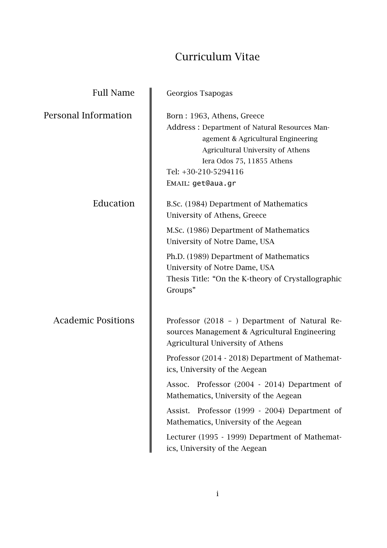## Curriculum Vitae

| <b>Full Name</b>          | Georgios Tsapogas                                                                                                                                                                                                                 |
|---------------------------|-----------------------------------------------------------------------------------------------------------------------------------------------------------------------------------------------------------------------------------|
| Personal Information      | Born: 1963, Athens, Greece<br>Address: Department of Natural Resources Man-<br>agement & Agricultural Engineering<br>Agricultural University of Athens<br>Iera Odos 75, 11855 Athens<br>Tel: +30-210-5294116<br>EMAIL: get@aua.gr |
| Education                 | B.Sc. (1984) Department of Mathematics<br>University of Athens, Greece                                                                                                                                                            |
|                           | M.Sc. (1986) Department of Mathematics<br>University of Notre Dame, USA                                                                                                                                                           |
|                           | Ph.D. (1989) Department of Mathematics<br>University of Notre Dame, USA<br>Thesis Title: "On the K-theory of Crystallographic<br>Groups"                                                                                          |
| <b>Academic Positions</b> | Professor (2018 - ) Department of Natural Re-<br>sources Management & Agricultural Engineering<br><b>Agricultural University of Athens</b>                                                                                        |
|                           | Professor (2014 - 2018) Department of Mathemat-<br>ics, University of the Aegean                                                                                                                                                  |
|                           | Assoc. Professor (2004 - 2014) Department of<br>Mathematics, University of the Aegean                                                                                                                                             |
|                           | Professor (1999 - 2004) Department of<br>Assist.<br>Mathematics, University of the Aegean                                                                                                                                         |
|                           | Lecturer (1995 - 1999) Department of Mathemat-<br>ics, University of the Aegean                                                                                                                                                   |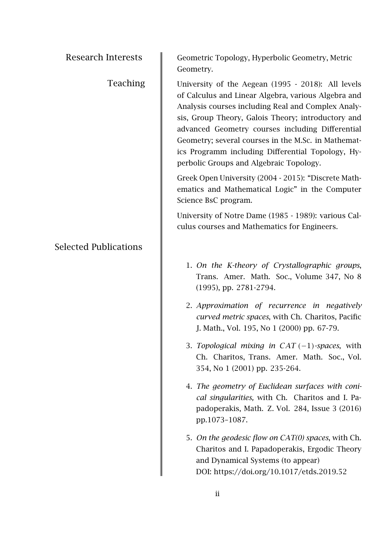| <b>Research Interests</b>    | Geometric Topology, Hyperbolic Geometry, Metric<br>Geometry.                                                                                                                                                                                                                                                                                                                                                                     |
|------------------------------|----------------------------------------------------------------------------------------------------------------------------------------------------------------------------------------------------------------------------------------------------------------------------------------------------------------------------------------------------------------------------------------------------------------------------------|
| Teaching                     | University of the Aegean (1995 - 2018): All levels<br>of Calculus and Linear Algebra, various Algebra and<br>Analysis courses including Real and Complex Analy-<br>sis, Group Theory, Galois Theory; introductory and<br>advanced Geometry courses including Differential<br>Geometry; several courses in the M.Sc. in Mathemat-<br>ics Programm including Differential Topology, Hy-<br>perbolic Groups and Algebraic Topology. |
|                              | Greek Open University (2004 - 2015): "Discrete Math-<br>ematics and Mathematical Logic" in the Computer<br>Science BsC program.                                                                                                                                                                                                                                                                                                  |
|                              | University of Notre Dame (1985 - 1989): various Cal-<br>culus courses and Mathematics for Engineers.                                                                                                                                                                                                                                                                                                                             |
| <b>Selected Publications</b> |                                                                                                                                                                                                                                                                                                                                                                                                                                  |
|                              | 1. On the K-theory of Crystallographic groups,<br>Trans. Amer. Math. Soc., Volume 347, No 8<br>$(1995)$ , pp. 2781-2794.                                                                                                                                                                                                                                                                                                         |
|                              | 2. Approximation of recurrence in negatively<br>curved metric spaces, with Ch. Charitos, Pacific<br>J. Math., Vol. 195, No 1 (2000) pp. 67-79.                                                                                                                                                                                                                                                                                   |
|                              | 3. Topological mixing in $CAT(-1)$ -spaces, with<br>Ch. Charitos, Trans. Amer. Math. Soc., Vol.<br>354, No 1 (2001) pp. 235-264.                                                                                                                                                                                                                                                                                                 |
|                              | 4. The geometry of Euclidean surfaces with coni-<br>cal singularities, with Ch. Charitos and I. Pa-<br>padoperakis, Math. Z. Vol. 284, Issue 3 (2016)<br>pp.1073-1087.                                                                                                                                                                                                                                                           |
|                              | 5. On the geodesic flow on CAT(0) spaces, with Ch.<br>Charitos and I. Papadoperakis, Ergodic Theory<br>and Dynamical Systems (to appear)<br>DOI: https://doi.org/10.1017/etds.2019.52                                                                                                                                                                                                                                            |
|                              |                                                                                                                                                                                                                                                                                                                                                                                                                                  |